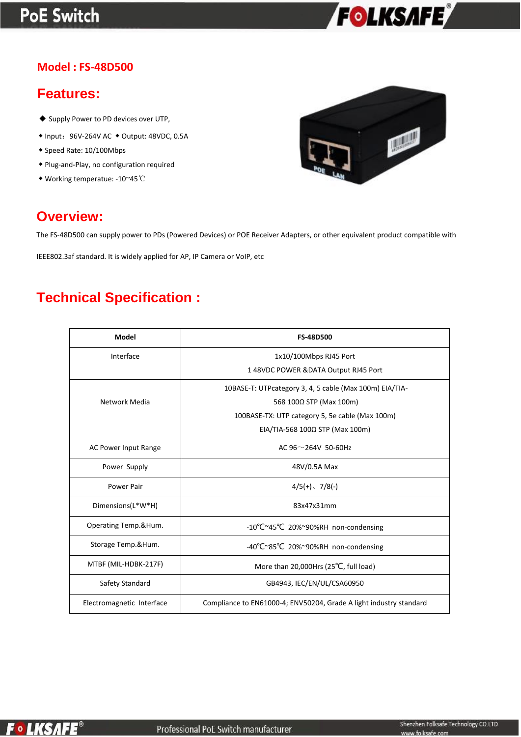# **PoE Switch**



### **Model : FS-48D500**

## **Features:**

- ◆ Supply Power to PD devices over UTP,
- ◆ Input:96V-264V AC ◆ Output: 48VDC, 0.5A
- ◆ Speed Rate: 10/100Mbps
- ◆ Plug-and-Play, no configuration required
- ◆ Working temperatue: -10~45℃



## **Overview:**

The FS-48D500 can supply power to PDs (Powered Devices) or POE Receiver Adapters, or other equivalent product compatible with

IEEE802.3af standard. It is widely applied for AP, IP Camera or VoIP, etc

# **Technical Specification :**

| Model                     | <b>FS-48D500</b>                                                       |
|---------------------------|------------------------------------------------------------------------|
| Interface                 | 1x10/100Mbps RJ45 Port                                                 |
|                           | 1 48VDC POWER & DATA Output RJ45 Port                                  |
|                           | 10BASE-T: UTPcategory 3, 4, 5 cable (Max 100m) EIA/TIA-                |
| Network Media             | 568 100Ω STP (Max 100m)                                                |
|                           | 100BASE-TX: UTP category 5, 5e cable (Max 100m)                        |
|                           | EIA/TIA-568 100 $\Omega$ STP (Max 100m)                                |
| AC Power Input Range      | AC $96 \sim 264V$ 50-60Hz                                              |
| Power Supply              | 48V/0.5A Max                                                           |
| Power Pair                | $4/5(+)$ , $7/8(-)$                                                    |
| Dimensions(L*W*H)         | 83x47x31mm                                                             |
| Operating Temp.&Hum.      | $-10^{\circ}$ C $\sim$ 45 $^{\circ}$ C 20% $\sim$ 90%RH non-condensing |
| Storage Temp.&Hum.        | -40°C~85°C 20%~90%RH non-condensing                                    |
| MTBF (MIL-HDBK-217F)      | More than 20,000Hrs (25°C, full load)                                  |
| Safety Standard           | GB4943, IEC/EN/UL/CSA60950                                             |
| Electromagnetic Interface | Compliance to EN61000-4; ENV50204, Grade A light industry standard     |